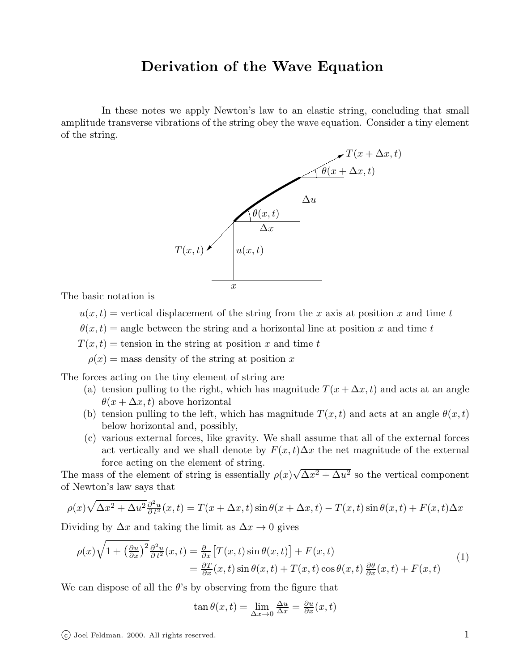## Derivation of the Wave Equation

In these notes we apply Newton's law to an elastic string, concluding that small amplitude transverse vibrations of the string obey the wave equation. Consider a tiny element of the string.



The basic notation is

 $u(x, t)$  = vertical displacement of the string from the x axis at position x and time t

 $\theta(x,t)$  = angle between the string and a horizontal line at position x and time t

 $T(x, t)$  = tension in the string at position x and time t

 $\rho(x)$  = mass density of the string at position x

The forces acting on the tiny element of string are

- (a) tension pulling to the right, which has magnitude  $T(x + \Delta x, t)$  and acts at an angle  $\theta(x + \Delta x, t)$  above horizontal
- (b) tension pulling to the left, which has magnitude  $T(x,t)$  and acts at an angle  $\theta(x,t)$ below horizontal and, possibly,
- (c) various external forces, like gravity. We shall assume that all of the external forces act vertically and we shall denote by  $F(x, t)\Delta x$  the net magnitude of the external force acting on the element of string.

The mass of the element of string is essentially  $\rho(x)\sqrt{\Delta x^2 + \Delta u^2}$  so the vertical component of Newton's law says that

$$
\rho(x)\sqrt{\Delta x^2 + \Delta u^2} \frac{\partial^2 u}{\partial t^2}(x,t) = T(x + \Delta x, t) \sin \theta(x + \Delta x, t) - T(x, t) \sin \theta(x, t) + F(x, t) \Delta x
$$

Dividing by  $\Delta x$  and taking the limit as  $\Delta x \rightarrow 0$  gives

$$
\rho(x)\sqrt{1+\left(\frac{\partial u}{\partial x}\right)^2\frac{\partial^2 u}{\partial t^2}}(x,t) = \frac{\partial}{\partial x}\left[T(x,t)\sin\theta(x,t)\right] + F(x,t) \n= \frac{\partial T}{\partial x}(x,t)\sin\theta(x,t) + T(x,t)\cos\theta(x,t)\frac{\partial \theta}{\partial x}(x,t) + F(x,t)
$$
\n(1)

We can dispose of all the  $\theta$ 's by observing from the figure that

$$
\tan \theta(x, t) = \lim_{\Delta x \to 0} \frac{\Delta u}{\Delta x} = \frac{\partial u}{\partial x}(x, t)
$$

 $\overline{c}$  Joel Feldman. 2000. All rights reserved. 1